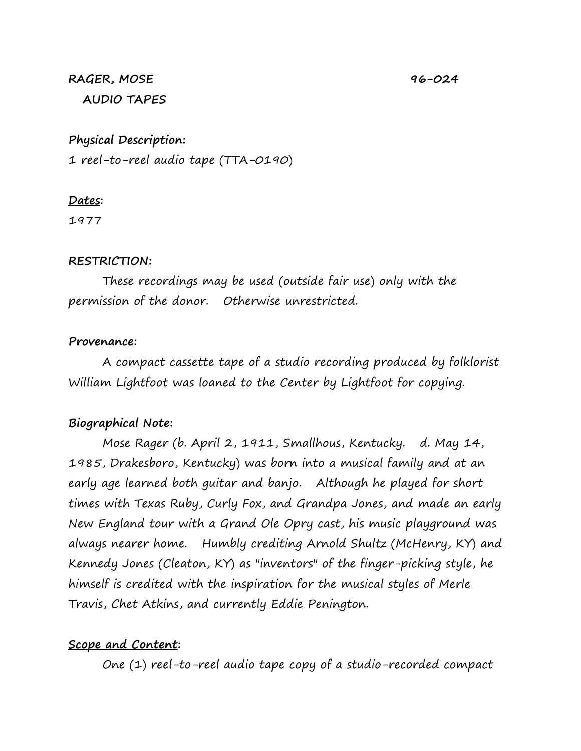#### **RAGER, MOSE 96-024 AUDIO TAPES**

## **Physical Description:**

1 reel-to-reel audio tape (TTA-0190)

#### **Dates:**

1977

#### **RESTRICTION:**

These recordings may be used (outside fair use) only with the permission of the donor. Otherwise unrestricted.

#### **Provenance:**

A compact cassette tape of a studio recording produced by folklorist William Lightfoot was loaned to the Center by Lightfoot for copying.

# **Biographical Note:**

Mose Rager (b. April 2, 1911, Smallhous, Kentucky. d. May 14, 1985, Drakesboro, Kentucky) was born into a musical family and at an early age learned both guitar and banjo. Although he played for short times with Texas Ruby, Curly Fox, and Grandpa Jones, and made an early New England tour with a Grand Ole Opry cast, his music playground was always nearer home. Humbly crediting Arnold Shultz (McHenry, KY) and Kennedy Jones (Cleaton, KY) as "inventors" of the finger-picking style, he himself is credited with the inspiration for the musical styles of Merle Travis, Chet Atkins, and currently Eddie Penington.

## **Scope and Content:**

One (1) reel-to-reel audio tape copy of a studio-recorded compact